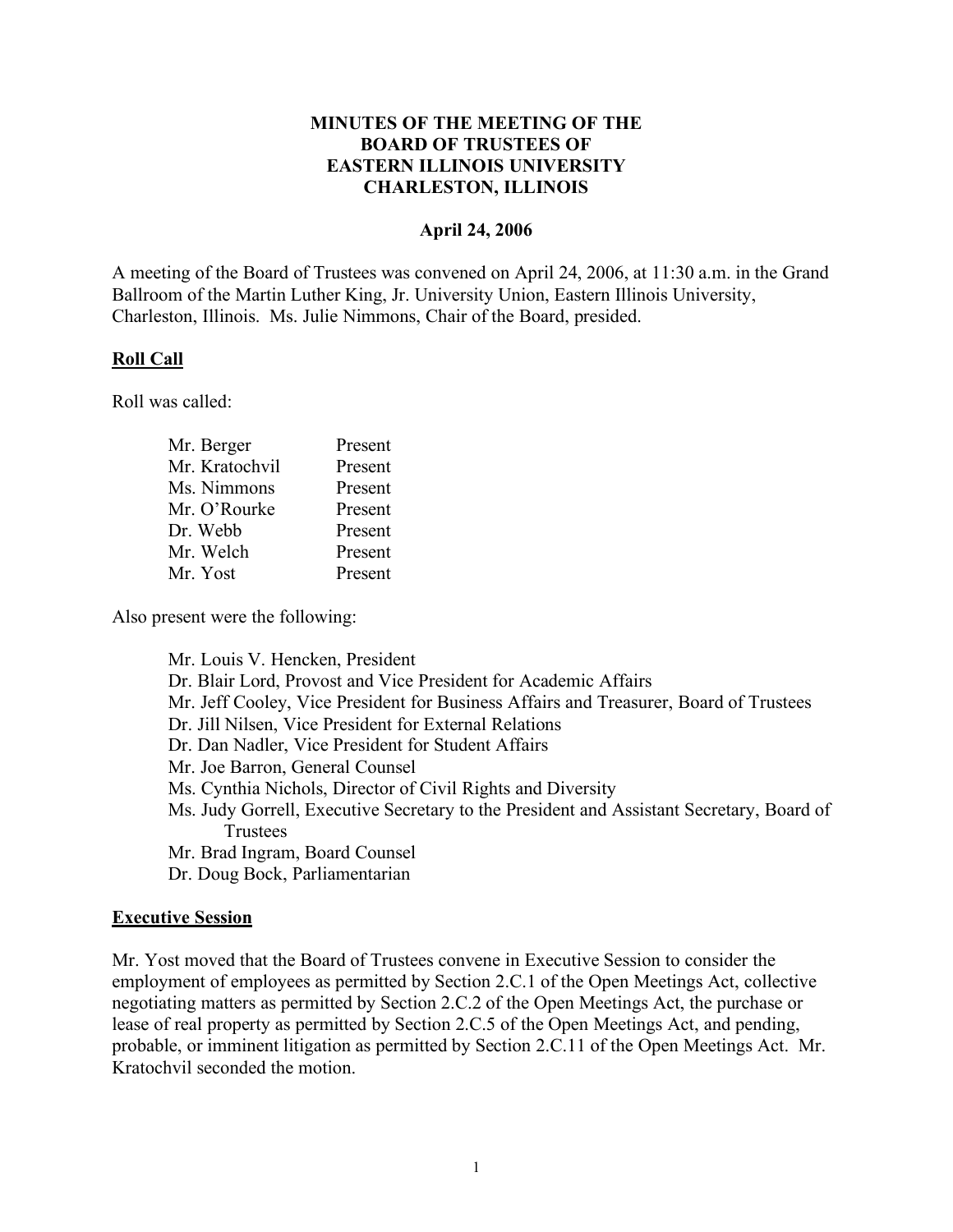## **MINUTES OF THE MEETING OF THE BOARD OF TRUSTEES OF EASTERN ILLINOIS UNIVERSITY CHARLESTON, ILLINOIS**

#### **April 24, 2006**

A meeting of the Board of Trustees was convened on April 24, 2006, at 11:30 a.m. in the Grand Ballroom of the Martin Luther King, Jr. University Union, Eastern Illinois University, Charleston, Illinois. Ms. Julie Nimmons, Chair of the Board, presided.

## **Roll Call**

Roll was called:

| Present |
|---------|
| Present |
| Present |
| Present |
| Present |
| Present |
| Present |
|         |

Also present were the following:

Mr. Louis V. Hencken, President Dr. Blair Lord, Provost and Vice President for Academic Affairs Mr. Jeff Cooley, Vice President for Business Affairs and Treasurer, Board of Trustees Dr. Jill Nilsen, Vice President for External Relations Dr. Dan Nadler, Vice President for Student Affairs Mr. Joe Barron, General Counsel Ms. Cynthia Nichols, Director of Civil Rights and Diversity Ms. Judy Gorrell, Executive Secretary to the President and Assistant Secretary, Board of **Trustees** Mr. Brad Ingram, Board Counsel Dr. Doug Bock, Parliamentarian

#### **Executive Session**

Mr. Yost moved that the Board of Trustees convene in Executive Session to consider the employment of employees as permitted by Section 2.C.1 of the Open Meetings Act, collective negotiating matters as permitted by Section 2.C.2 of the Open Meetings Act, the purchase or lease of real property as permitted by Section 2.C.5 of the Open Meetings Act, and pending, probable, or imminent litigation as permitted by Section 2.C.11 of the Open Meetings Act. Mr. Kratochvil seconded the motion.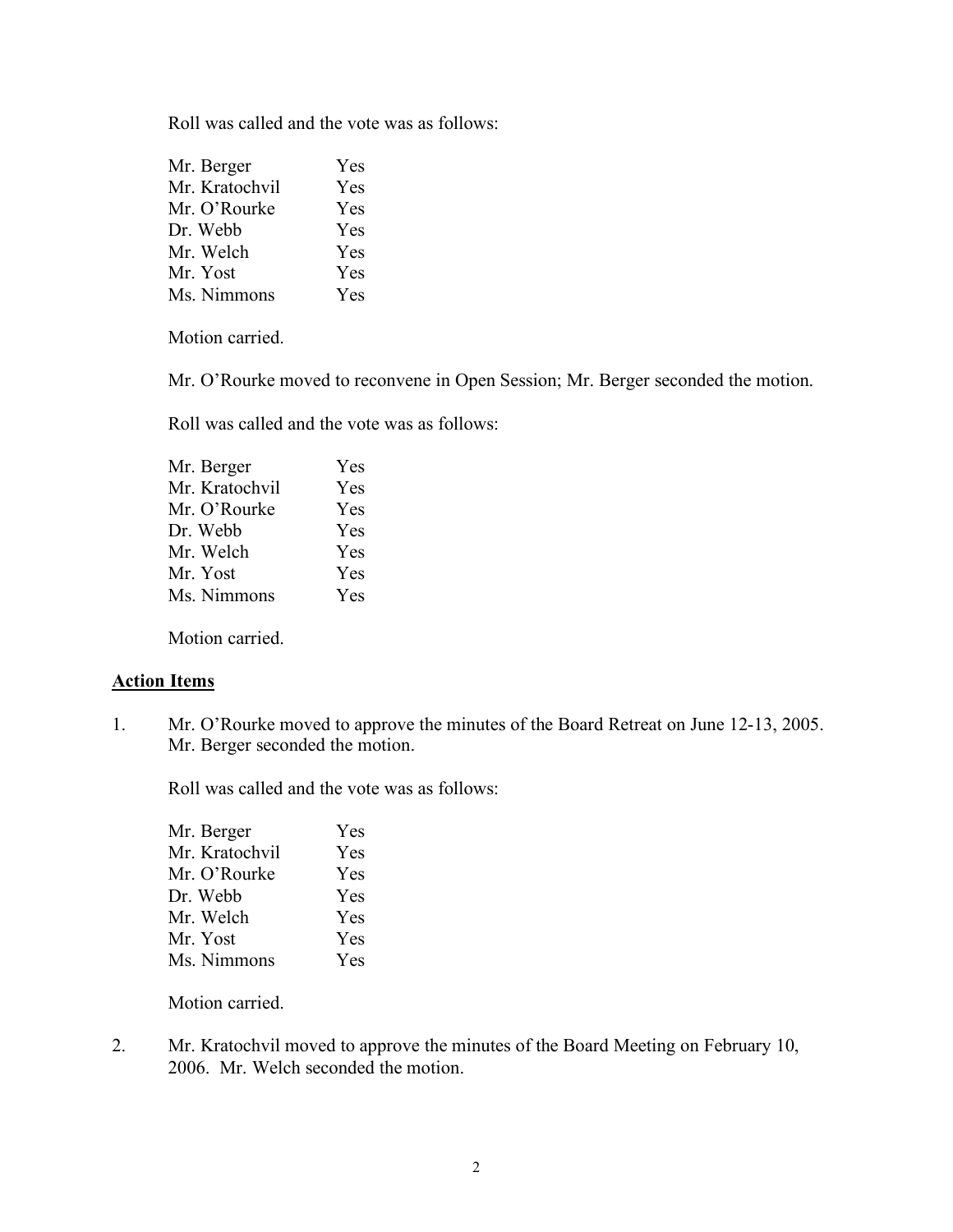Roll was called and the vote was as follows:

| Mr. Berger     | Yes        |
|----------------|------------|
| Mr. Kratochvil | Yes        |
| Mr. O'Rourke   | Yes        |
| Dr. Webb       | Yes        |
| Mr. Welch      | Yes        |
| Mr. Yost       | <b>Yes</b> |
| Ms. Nimmons    | Yes        |

Motion carried.

Mr. O'Rourke moved to reconvene in Open Session; Mr. Berger seconded the motion.

Roll was called and the vote was as follows:

| Mr. Berger     | Yes |
|----------------|-----|
| Mr. Kratochvil | Yes |
| Mr. O'Rourke   | Yes |
| Dr. Webb       | Yes |
| Mr. Welch      | Yes |
| Mr. Yost       | Yes |
| Ms. Nimmons    | Yes |
|                |     |

Motion carried.

#### **Action Items**

1. Mr. O'Rourke moved to approve the minutes of the Board Retreat on June 12-13, 2005. Mr. Berger seconded the motion.

Roll was called and the vote was as follows:

| Mr. Berger     | Yes        |
|----------------|------------|
| Mr. Kratochvil | Yes        |
| Mr. O'Rourke   | Yes        |
| Dr. Webb       | <b>Yes</b> |
| Mr. Welch      | <b>Yes</b> |
| Mr. Yost       | Yes        |
| Ms. Nimmons    | Yes        |
|                |            |

Motion carried.

2. Mr. Kratochvil moved to approve the minutes of the Board Meeting on February 10, 2006. Mr. Welch seconded the motion.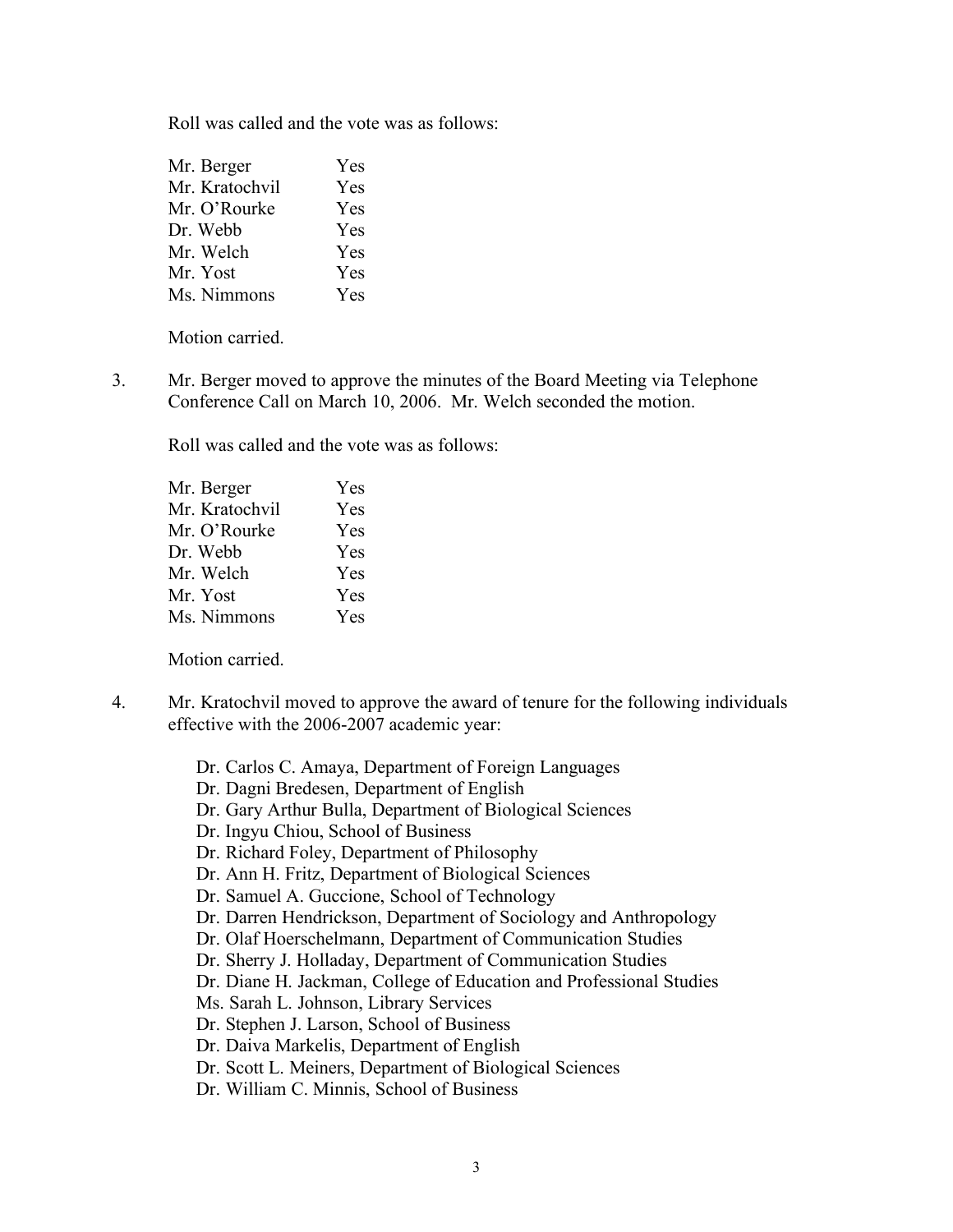Roll was called and the vote was as follows:

| Yes        |
|------------|
| <b>Yes</b> |
| <b>Yes</b> |
| Yes        |
| <b>Yes</b> |
| Yes        |
| Yes        |
|            |

Motion carried.

3. Mr. Berger moved to approve the minutes of the Board Meeting via Telephone Conference Call on March 10, 2006. Mr. Welch seconded the motion.

Roll was called and the vote was as follows:

| Yes        |
|------------|
| Yes        |
| Yes        |
| <b>Yes</b> |
| Yes        |
| Yes        |
| Yes        |
|            |

Motion carried.

- 4. Mr. Kratochvil moved to approve the award of tenure for the following individuals effective with the 2006-2007 academic year:
	- Dr. Carlos C. Amaya, Department of Foreign Languages
	- Dr. Dagni Bredesen, Department of English
	- Dr. Gary Arthur Bulla, Department of Biological Sciences
	- Dr. Ingyu Chiou, School of Business
	- Dr. Richard Foley, Department of Philosophy
	- Dr. Ann H. Fritz, Department of Biological Sciences
	- Dr. Samuel A. Guccione, School of Technology
	- Dr. Darren Hendrickson, Department of Sociology and Anthropology
	- Dr. Olaf Hoerschelmann, Department of Communication Studies
	- Dr. Sherry J. Holladay, Department of Communication Studies
	- Dr. Diane H. Jackman, College of Education and Professional Studies
	- Ms. Sarah L. Johnson, Library Services
	- Dr. Stephen J. Larson, School of Business
	- Dr. Daiva Markelis, Department of English
	- Dr. Scott L. Meiners, Department of Biological Sciences
	- Dr. William C. Minnis, School of Business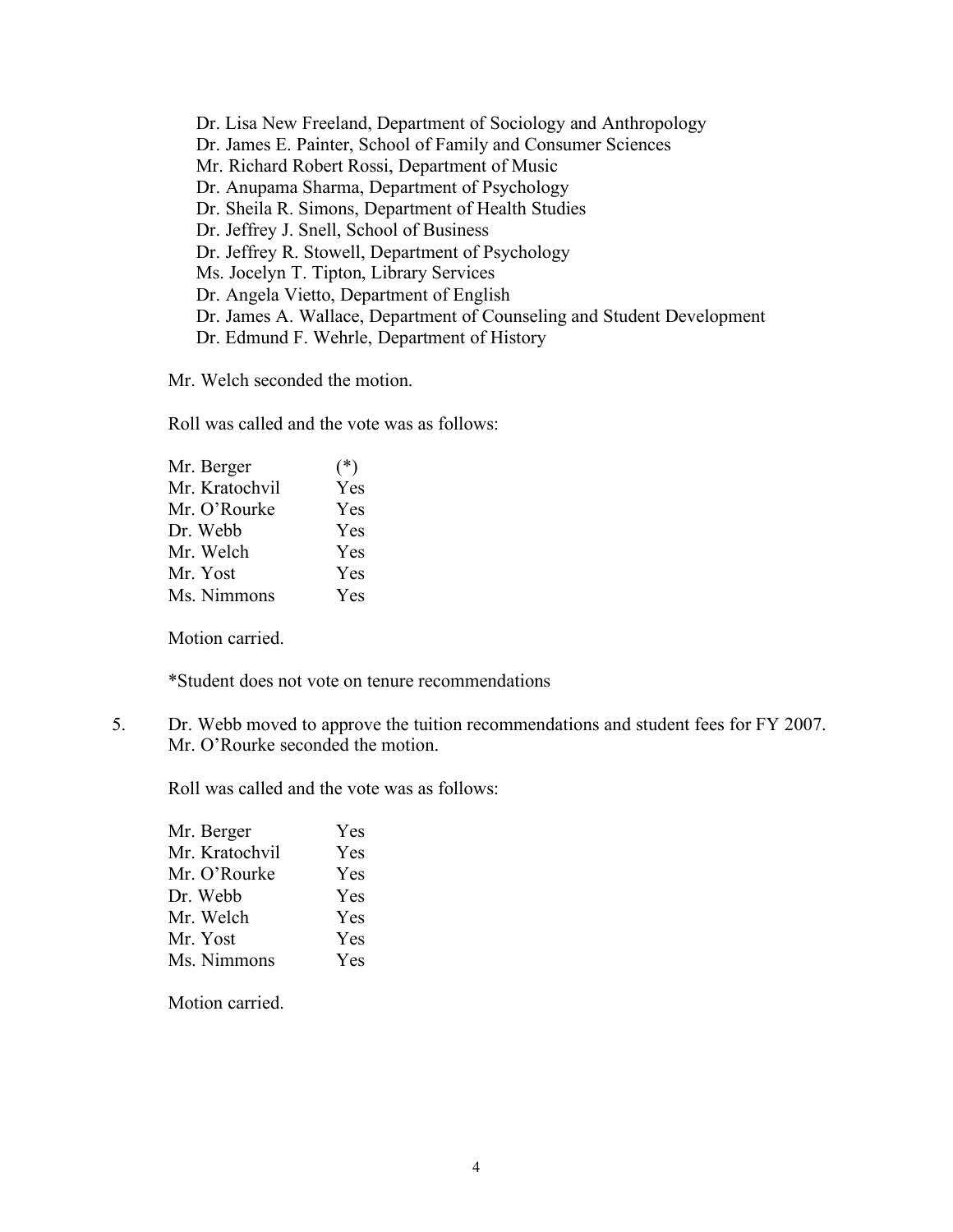Dr. Lisa New Freeland, Department of Sociology and Anthropology Dr. James E. Painter, School of Family and Consumer Sciences Mr. Richard Robert Rossi, Department of Music Dr. Anupama Sharma, Department of Psychology Dr. Sheila R. Simons, Department of Health Studies Dr. Jeffrey J. Snell, School of Business Dr. Jeffrey R. Stowell, Department of Psychology Ms. Jocelyn T. Tipton, Library Services Dr. Angela Vietto, Department of English Dr. James A. Wallace, Department of Counseling and Student Development Dr. Edmund F. Wehrle, Department of History

Mr. Welch seconded the motion.

Roll was called and the vote was as follows:

| Mr. Berger     | $(*)$ |
|----------------|-------|
| Mr. Kratochvil | Yes   |
| Mr. O'Rourke   | Yes   |
| Dr. Webb       | Yes   |
| Mr. Welch      | Yes   |
| Mr. Yost       | Yes   |
| Ms. Nimmons    | Yes   |
|                |       |

Motion carried.

\*Student does not vote on tenure recommendations

5. Dr. Webb moved to approve the tuition recommendations and student fees for FY 2007. Mr. O'Rourke seconded the motion.

Roll was called and the vote was as follows:

| Mr. Berger     | Yes        |
|----------------|------------|
| Mr. Kratochvil | Yes        |
| Mr. O'Rourke   | Yes        |
| Dr. Webb       | Yes        |
| Mr. Welch      | <b>Yes</b> |
| Mr. Yost       | Yes        |
| Ms. Nimmons    | Yes        |

Motion carried.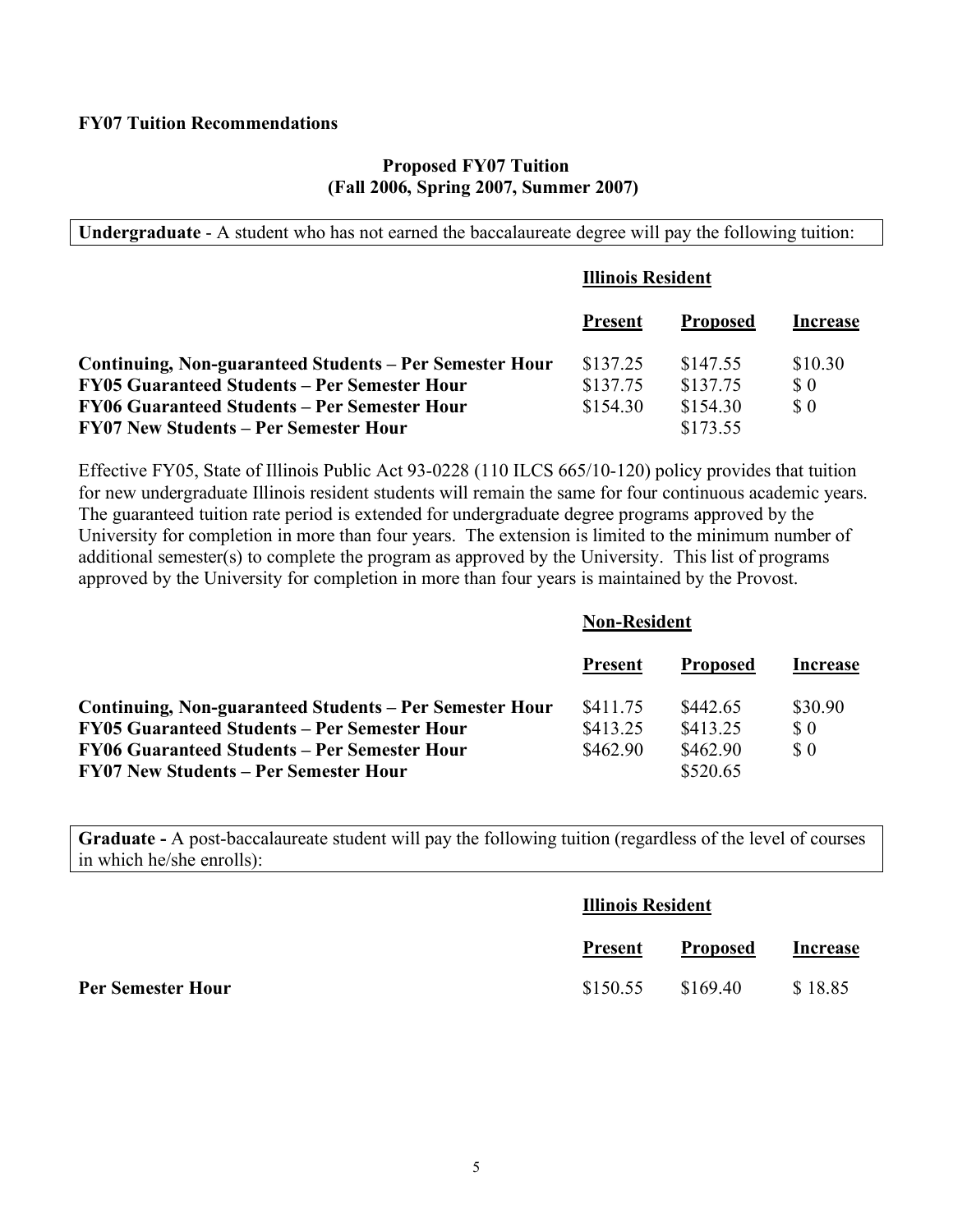#### **FY07 Tuition Recommendations**

#### **Proposed FY07 Tuition (Fall 2006, Spring 2007, Summer 2007)**

**Undergraduate** - A student who has not earned the baccalaureate degree will pay the following tuition:

|                                                         | <b>Illinois Resident</b> |                 |                             |
|---------------------------------------------------------|--------------------------|-----------------|-----------------------------|
|                                                         | <b>Present</b>           | <b>Proposed</b> | Increase                    |
| Continuing, Non-guaranteed Students – Per Semester Hour | \$137.25                 | \$147.55        | \$10.30                     |
| FY05 Guaranteed Students – Per Semester Hour            | \$137.75                 | \$137.75        | $\boldsymbol{\mathsf{S}}$ 0 |
| FY06 Guaranteed Students – Per Semester Hour            | \$154.30                 | \$154.30        | $\Omega$                    |
| <b>FY07 New Students – Per Semester Hour</b>            |                          | \$173.55        |                             |

Effective FY05, State of Illinois Public Act 93-0228 (110 ILCS 665/10-120) policy provides that tuition for new undergraduate Illinois resident students will remain the same for four continuous academic years. The guaranteed tuition rate period is extended for undergraduate degree programs approved by the University for completion in more than four years. The extension is limited to the minimum number of additional semester(s) to complete the program as approved by the University. This list of programs approved by the University for completion in more than four years is maintained by the Provost.

|                                                         | <b>Non-Resident</b> |                 |                             |
|---------------------------------------------------------|---------------------|-----------------|-----------------------------|
|                                                         | <b>Present</b>      | <b>Proposed</b> | Increase                    |
| Continuing, Non-guaranteed Students – Per Semester Hour | \$411 75            | \$442.65        | \$30.90                     |
| <b>FY05 Guaranteed Students – Per Semester Hour</b>     | \$413.25            | \$413.25        | $\boldsymbol{\mathsf{S}}$ 0 |
| <b>FY06 Guaranteed Students – Per Semester Hour</b>     | \$462.90            | \$462.90        | $\Omega$                    |
| <b>FY07 New Students – Per Semester Hour</b>            |                     | \$520.65        |                             |

**Graduate -** A post-baccalaureate student will pay the following tuition (regardless of the level of courses in which he/she enrolls):

|                          | <b>Illinois Resident</b> |                 |          |
|--------------------------|--------------------------|-----------------|----------|
|                          | Present                  | <b>Proposed</b> | Increase |
| <b>Per Semester Hour</b> | \$150.55                 | \$169.40        | \$18.85  |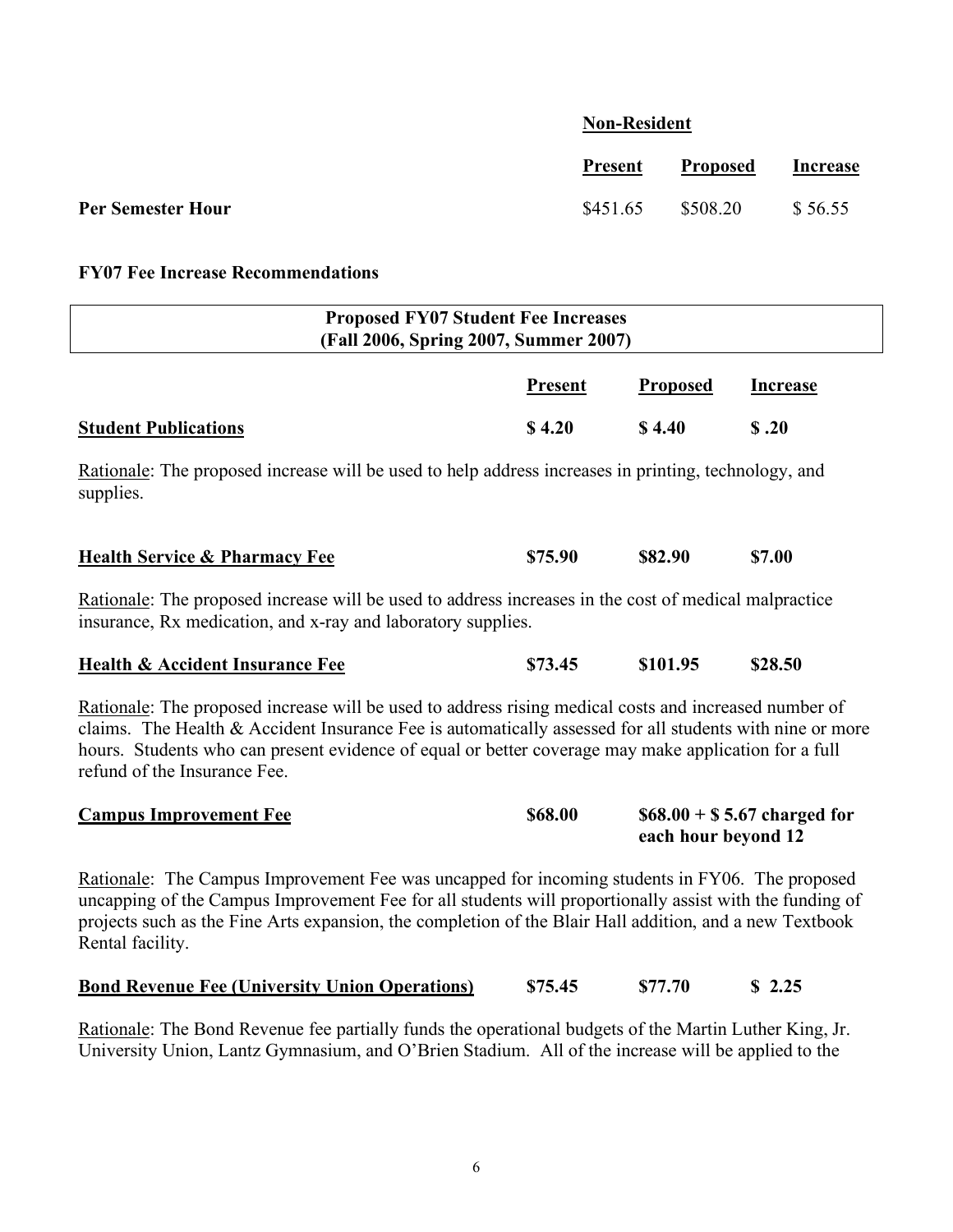# **Non-Resident**

|                   | <b>Present</b>    | Proposed | <b>Increase</b> |
|-------------------|-------------------|----------|-----------------|
| Per Semester Hour | \$451.65 \$508.20 |          | \$56.55         |

# **FY07 Fee Increase Recommendations**

| <b>Proposed FY07 Student Fee Increases</b><br>(Fall 2006, Spring 2007, Summer 2007)                                                                                                                                                                                                                                                                       |         |                     |                              |  |  |  |  |
|-----------------------------------------------------------------------------------------------------------------------------------------------------------------------------------------------------------------------------------------------------------------------------------------------------------------------------------------------------------|---------|---------------------|------------------------------|--|--|--|--|
| <b>Present</b><br><b>Proposed</b><br><b>Increase</b>                                                                                                                                                                                                                                                                                                      |         |                     |                              |  |  |  |  |
| <b>Student Publications</b>                                                                                                                                                                                                                                                                                                                               | \$4.20  | \$4.40              | \$.20                        |  |  |  |  |
| Rationale: The proposed increase will be used to help address increases in printing, technology, and<br>supplies.                                                                                                                                                                                                                                         |         |                     |                              |  |  |  |  |
| <b>Health Service &amp; Pharmacy Fee</b>                                                                                                                                                                                                                                                                                                                  | \$75.90 | \$82.90             | \$7.00                       |  |  |  |  |
| Rationale: The proposed increase will be used to address increases in the cost of medical malpractice<br>insurance, Rx medication, and x-ray and laboratory supplies.                                                                                                                                                                                     |         |                     |                              |  |  |  |  |
| <b>Health &amp; Accident Insurance Fee</b>                                                                                                                                                                                                                                                                                                                | \$73.45 | \$101.95            | \$28.50                      |  |  |  |  |
| Rationale: The proposed increase will be used to address rising medical costs and increased number of<br>claims. The Health & Accident Insurance Fee is automatically assessed for all students with nine or more<br>hours. Students who can present evidence of equal or better coverage may make application for a full<br>refund of the Insurance Fee. |         |                     |                              |  |  |  |  |
| <b>Campus Improvement Fee</b>                                                                                                                                                                                                                                                                                                                             | \$68.00 | each hour beyond 12 | $$68.00 + $5.67$ charged for |  |  |  |  |
| Rationale: The Campus Improvement Fee was uncapped for incoming students in FY06. The proposed<br>uncapping of the Campus Improvement Fee for all students will proportionally assist with the funding of<br>projects such as the Fine Arts expansion, the completion of the Blair Hall addition, and a new Textbook<br>Rental facility.                  |         |                     |                              |  |  |  |  |
| <b>Bond Revenue Fee (University Union Operations)</b>                                                                                                                                                                                                                                                                                                     | \$75.45 | \$77.70             | \$2.25                       |  |  |  |  |

Rationale: The Bond Revenue fee partially funds the operational budgets of the Martin Luther King, Jr. University Union, Lantz Gymnasium, and O'Brien Stadium. All of the increase will be applied to the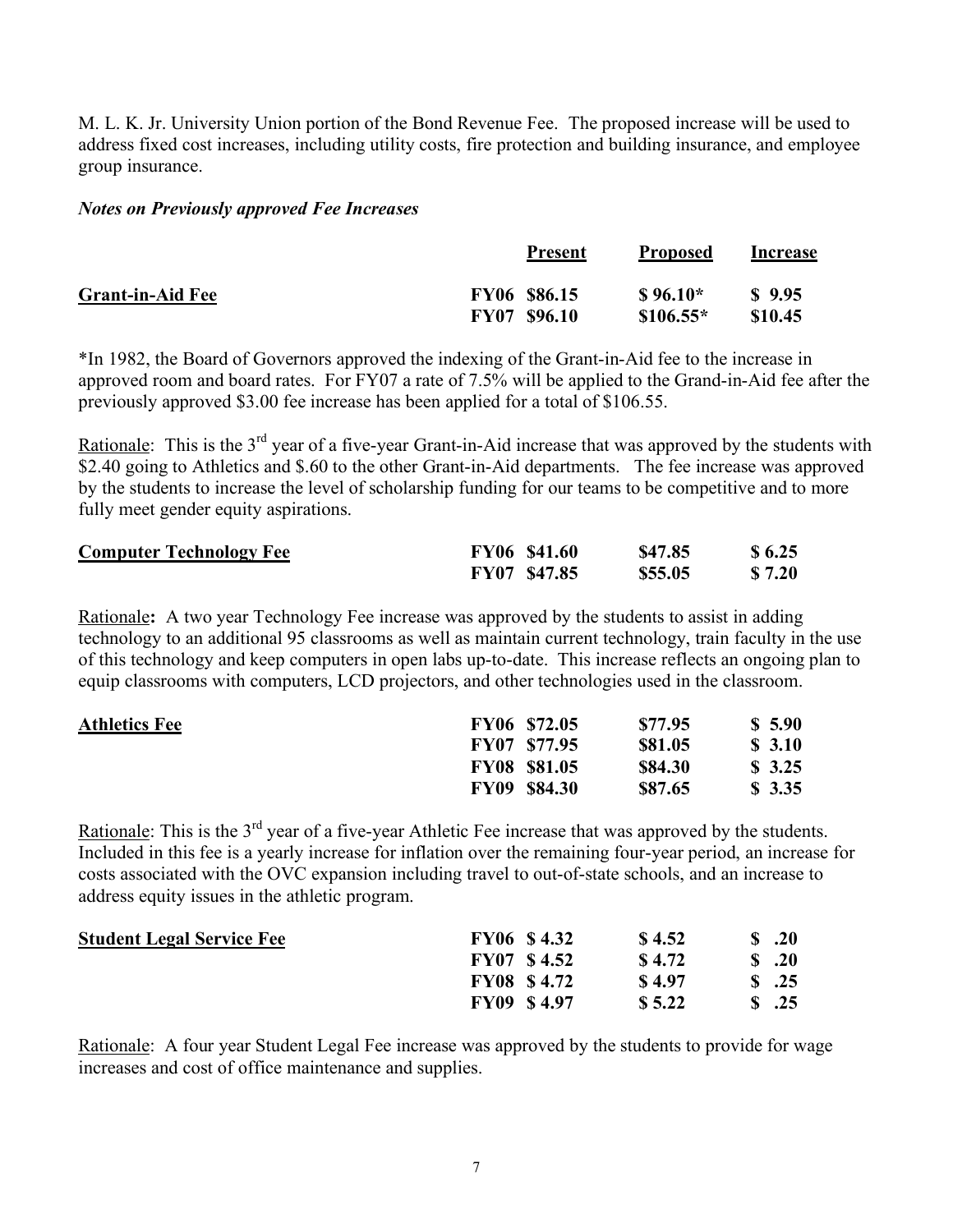M. L. K. Jr. University Union portion of the Bond Revenue Fee. The proposed increase will be used to address fixed cost increases, including utility costs, fire protection and building insurance, and employee group insurance.

#### *Notes on Previously approved Fee Increases*

|                         | <b>Present</b>      | <b>Proposed</b> | Increase          |
|-------------------------|---------------------|-----------------|-------------------|
| <b>Grant-in-Aid Fee</b> | FY06 \$86.15        | $$96.10*$       | $\frac{\$}{9.95}$ |
|                         | <b>FY07 \$96.10</b> | $$106.55*$      | \$10.45           |

\*In 1982, the Board of Governors approved the indexing of the Grant-in-Aid fee to the increase in approved room and board rates. For FY07 a rate of 7.5% will be applied to the Grand-in-Aid fee after the previously approved \$3.00 fee increase has been applied for a total of \$106.55.

Rationale: This is the 3<sup>rd</sup> year of a five-year Grant-in-Aid increase that was approved by the students with \$2.40 going to Athletics and \$.60 to the other Grant-in-Aid departments. The fee increase was approved by the students to increase the level of scholarship funding for our teams to be competitive and to more fully meet gender equity aspirations.

| <b>Computer Technology Fee</b> | FY06 \$41.60 | \$47.85 | \$6.25 |
|--------------------------------|--------------|---------|--------|
|                                | FY07 \$47.85 | \$55.05 | \$7.20 |

Rationale**:** A two year Technology Fee increase was approved by the students to assist in adding technology to an additional 95 classrooms as well as maintain current technology, train faculty in the use of this technology and keep computers in open labs up-to-date. This increase reflects an ongoing plan to equip classrooms with computers, LCD projectors, and other technologies used in the classroom.

| <b>Athletics Fee</b> |             | FY06 \$72.05        | \$77.95 | \$5.90 |
|----------------------|-------------|---------------------|---------|--------|
|                      |             | <b>FY07 \$77.95</b> | \$81.05 | \$3.10 |
|                      |             | <b>FY08 \$81.05</b> | \$84.30 | \$3.25 |
|                      | <b>FY09</b> | <b>\$84.30</b>      | \$87.65 | \$3.35 |

Rationale: This is the 3<sup>rd</sup> year of a five-year Athletic Fee increase that was approved by the students. Included in this fee is a yearly increase for inflation over the remaining four-year period, an increase for costs associated with the OVC expansion including travel to out-of-state schools, and an increase to address equity issues in the athletic program.

| <b>Student Legal Service Fee</b> | <b>FY06 \$4.32</b> | \$4.52 | .20               |
|----------------------------------|--------------------|--------|-------------------|
|                                  | <b>FY07 \$4.52</b> | \$4.72 | $\delta$ .20      |
|                                  | <b>FY08 \$4.72</b> | \$4.97 | $\textbf{S}$ .25  |
|                                  | <b>FY09 \$4.97</b> | \$5.22 | $\textbf{\$}$ .25 |

Rationale: A four year Student Legal Fee increase was approved by the students to provide for wage increases and cost of office maintenance and supplies.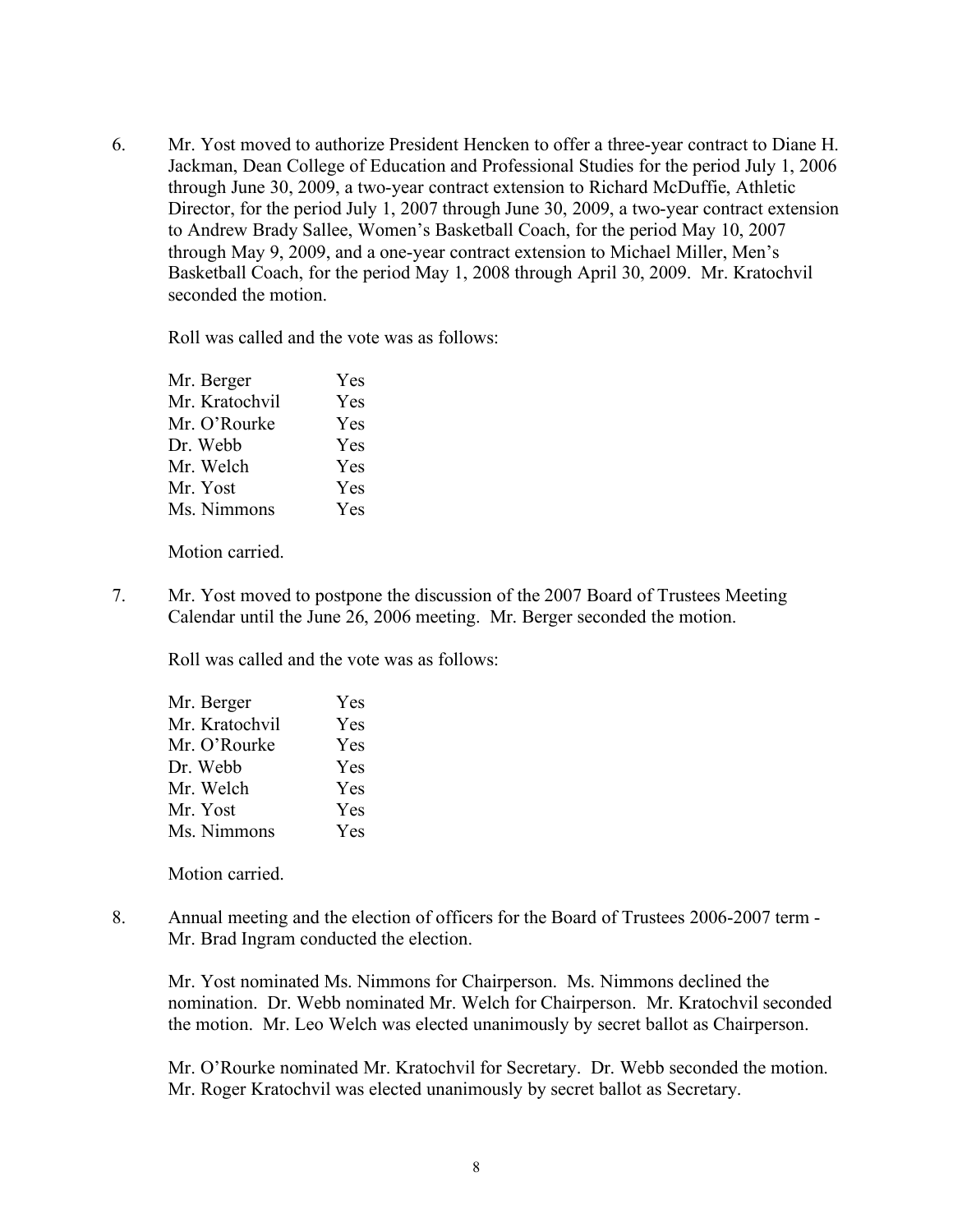6. Mr. Yost moved to authorize President Hencken to offer a three-year contract to Diane H. Jackman, Dean College of Education and Professional Studies for the period July 1, 2006 through June 30, 2009, a two-year contract extension to Richard McDuffie, Athletic Director, for the period July 1, 2007 through June 30, 2009, a two-year contract extension to Andrew Brady Sallee, Women's Basketball Coach, for the period May 10, 2007 through May 9, 2009, and a one-year contract extension to Michael Miller, Men's Basketball Coach, for the period May 1, 2008 through April 30, 2009. Mr. Kratochvil seconded the motion.

Roll was called and the vote was as follows:

| Mr. Berger     | Yes        |
|----------------|------------|
| Mr. Kratochvil | Yes        |
| Mr. O'Rourke   | Yes        |
| Dr. Webb       | Yes        |
| Mr. Welch      | <b>Yes</b> |
| Mr. Yost       | Yes        |
| Ms. Nimmons    | Yes        |
|                |            |

Motion carried.

7. Mr. Yost moved to postpone the discussion of the 2007 Board of Trustees Meeting Calendar until the June 26, 2006 meeting. Mr. Berger seconded the motion.

Roll was called and the vote was as follows:

| Mr. Berger     | Yes        |
|----------------|------------|
| Mr. Kratochvil | Yes        |
| Mr. O'Rourke   | <b>Yes</b> |
| Dr. Webb       | Yes        |
| Mr. Welch      | <b>Yes</b> |
| Mr. Yost       | <b>Yes</b> |
| Ms. Nimmons    | Yes        |
|                |            |

Motion carried.

8. Annual meeting and the election of officers for the Board of Trustees 2006-2007 term - Mr. Brad Ingram conducted the election.

Mr. Yost nominated Ms. Nimmons for Chairperson. Ms. Nimmons declined the nomination. Dr. Webb nominated Mr. Welch for Chairperson. Mr. Kratochvil seconded the motion. Mr. Leo Welch was elected unanimously by secret ballot as Chairperson.

Mr. O'Rourke nominated Mr. Kratochvil for Secretary. Dr. Webb seconded the motion. Mr. Roger Kratochvil was elected unanimously by secret ballot as Secretary.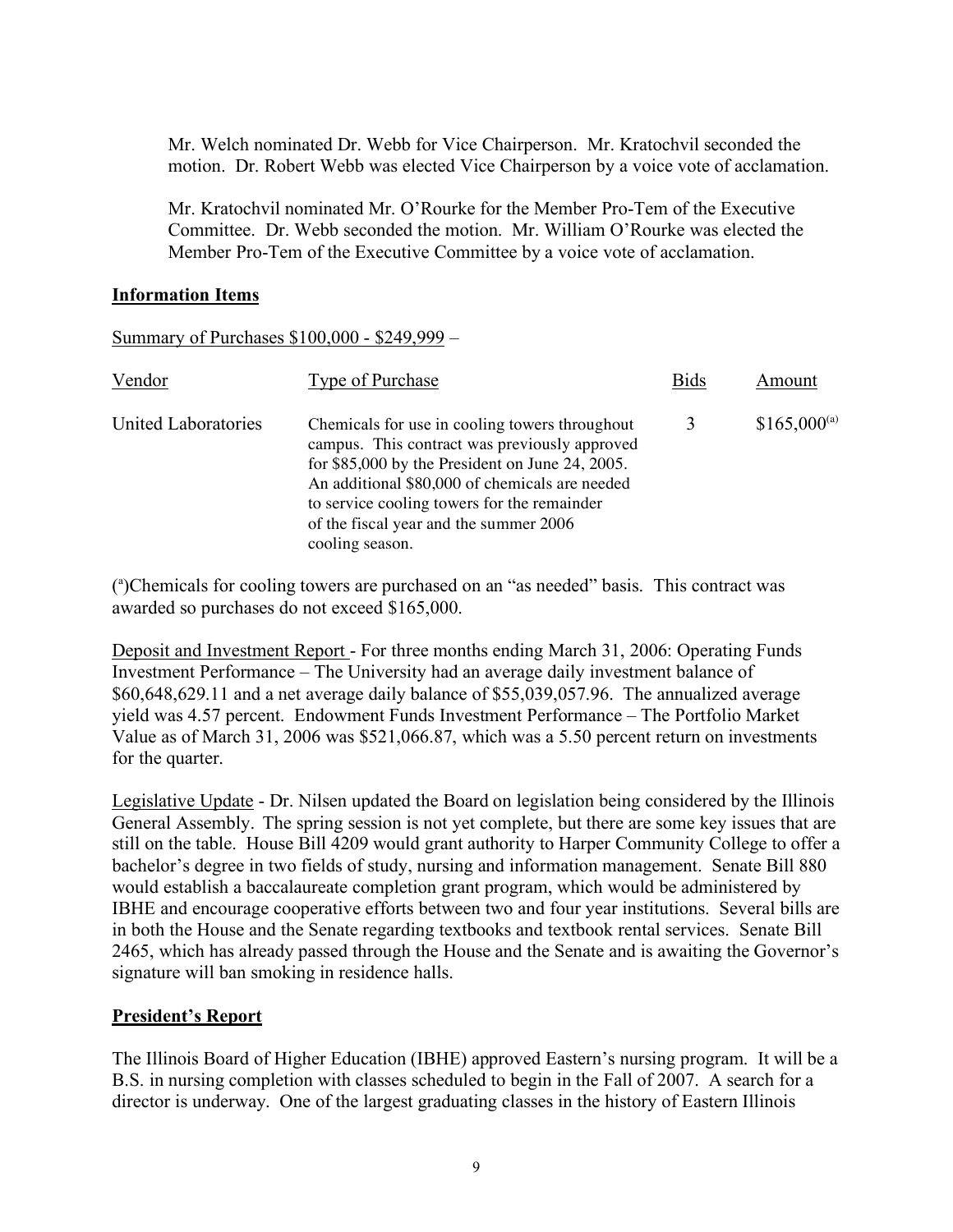Mr. Welch nominated Dr. Webb for Vice Chairperson. Mr. Kratochvil seconded the motion. Dr. Robert Webb was elected Vice Chairperson by a voice vote of acclamation.

Mr. Kratochvil nominated Mr. O'Rourke for the Member Pro-Tem of the Executive Committee. Dr. Webb seconded the motion. Mr. William O'Rourke was elected the Member Pro-Tem of the Executive Committee by a voice vote of acclamation.

#### **Information Items**

Summary of Purchases \$100,000 - \$249,999 –

| Vendor              | <b>Type of Purchase</b>                                                                                                                                                                                                                                                                                           | <b>Bids</b> | Amount           |
|---------------------|-------------------------------------------------------------------------------------------------------------------------------------------------------------------------------------------------------------------------------------------------------------------------------------------------------------------|-------------|------------------|
| United Laboratories | Chemicals for use in cooling towers throughout<br>campus. This contract was previously approved<br>for $$85,000$ by the President on June 24, 2005.<br>An additional \$80,000 of chemicals are needed<br>to service cooling towers for the remainder<br>of the fiscal year and the summer 2006<br>cooling season. |             | $$165,000^{(a)}$ |

( a )Chemicals for cooling towers are purchased on an "as needed" basis. This contract was awarded so purchases do not exceed \$165,000.

Deposit and Investment Report - For three months ending March 31, 2006: Operating Funds Investment Performance – The University had an average daily investment balance of \$60,648,629.11 and a net average daily balance of \$55,039,057.96. The annualized average yield was 4.57 percent. Endowment Funds Investment Performance – The Portfolio Market Value as of March 31, 2006 was \$521,066.87, which was a 5.50 percent return on investments for the quarter.

Legislative Update - Dr. Nilsen updated the Board on legislation being considered by the Illinois General Assembly. The spring session is not yet complete, but there are some key issues that are still on the table. House Bill 4209 would grant authority to Harper Community College to offer a bachelor's degree in two fields of study, nursing and information management. Senate Bill 880 would establish a baccalaureate completion grant program, which would be administered by IBHE and encourage cooperative efforts between two and four year institutions. Several bills are in both the House and the Senate regarding textbooks and textbook rental services. Senate Bill 2465, which has already passed through the House and the Senate and is awaiting the Governor's signature will ban smoking in residence halls.

#### **President's Report**

The Illinois Board of Higher Education (IBHE) approved Eastern's nursing program. It will be a B.S. in nursing completion with classes scheduled to begin in the Fall of 2007. A search for a director is underway. One of the largest graduating classes in the history of Eastern Illinois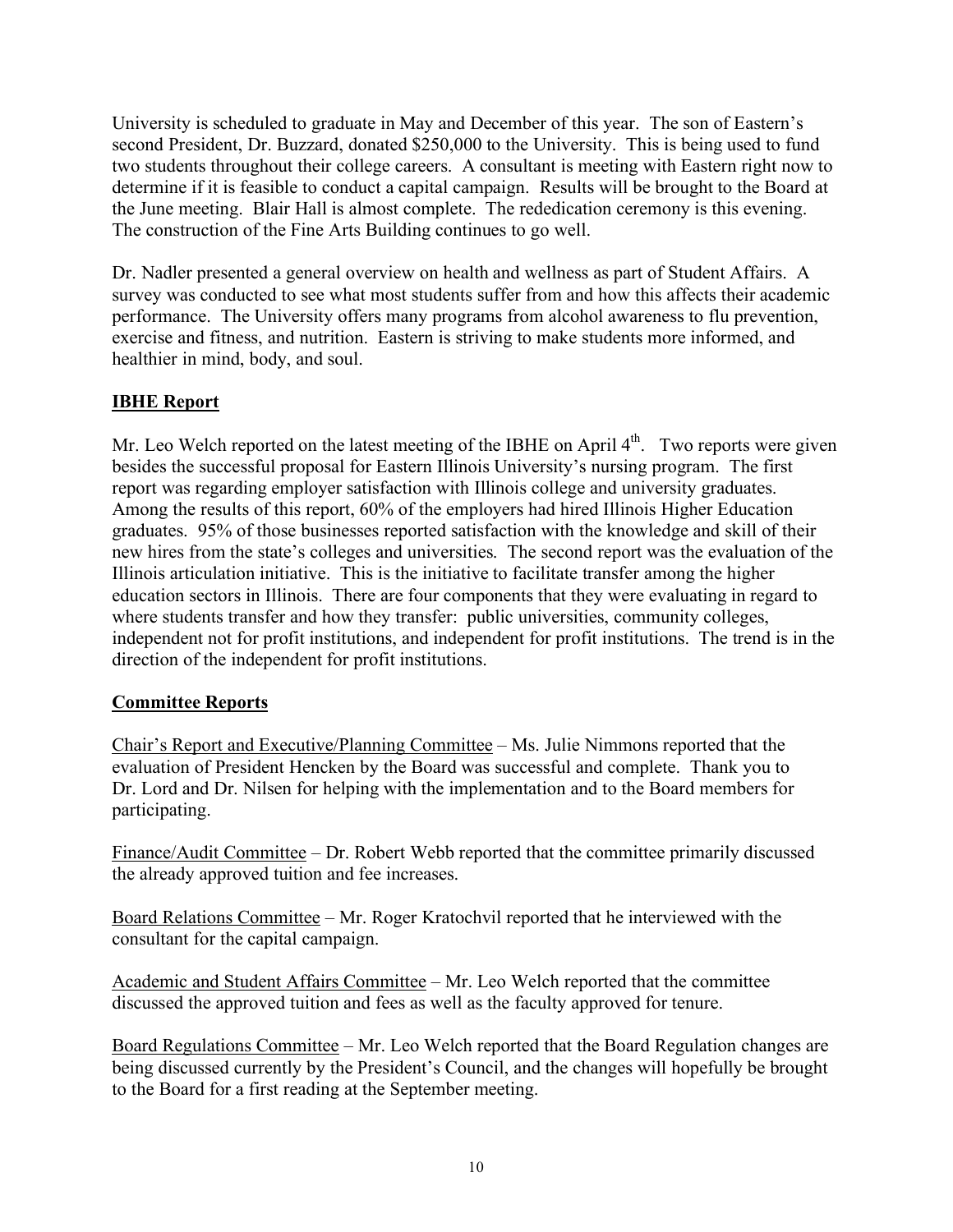University is scheduled to graduate in May and December of this year. The son of Eastern's second President, Dr. Buzzard, donated \$250,000 to the University. This is being used to fund two students throughout their college careers. A consultant is meeting with Eastern right now to determine if it is feasible to conduct a capital campaign. Results will be brought to the Board at the June meeting. Blair Hall is almost complete. The rededication ceremony is this evening. The construction of the Fine Arts Building continues to go well.

Dr. Nadler presented a general overview on health and wellness as part of Student Affairs. A survey was conducted to see what most students suffer from and how this affects their academic performance. The University offers many programs from alcohol awareness to flu prevention, exercise and fitness, and nutrition. Eastern is striving to make students more informed, and healthier in mind, body, and soul.

# **IBHE Report**

Mr. Leo Welch reported on the latest meeting of the IBHE on April  $4<sup>th</sup>$ . Two reports were given besides the successful proposal for Eastern Illinois University's nursing program. The first report was regarding employer satisfaction with Illinois college and university graduates. Among the results of this report, 60% of the employers had hired Illinois Higher Education graduates. 95% of those businesses reported satisfaction with the knowledge and skill of their new hires from the state's colleges and universities. The second report was the evaluation of the Illinois articulation initiative. This is the initiative to facilitate transfer among the higher education sectors in Illinois. There are four components that they were evaluating in regard to where students transfer and how they transfer: public universities, community colleges, independent not for profit institutions, and independent for profit institutions. The trend is in the direction of the independent for profit institutions.

# **Committee Reports**

Chair's Report and Executive/Planning Committee – Ms. Julie Nimmons reported that the evaluation of President Hencken by the Board was successful and complete. Thank you to Dr. Lord and Dr. Nilsen for helping with the implementation and to the Board members for participating.

Finance/Audit Committee – Dr. Robert Webb reported that the committee primarily discussed the already approved tuition and fee increases.

Board Relations Committee – Mr. Roger Kratochvil reported that he interviewed with the consultant for the capital campaign.

Academic and Student Affairs Committee – Mr. Leo Welch reported that the committee discussed the approved tuition and fees as well as the faculty approved for tenure.

Board Regulations Committee – Mr. Leo Welch reported that the Board Regulation changes are being discussed currently by the President's Council, and the changes will hopefully be brought to the Board for a first reading at the September meeting.